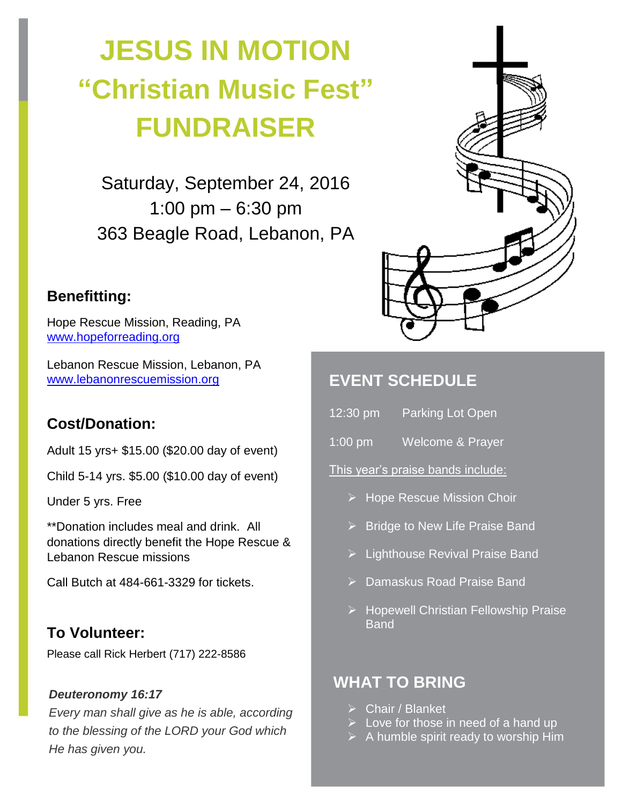# **JESUS IN MOTION "Christian Music Fest" FUNDRAISER**

Saturday, September 24, 2016 1:00 pm – 6:30 pm 363 Beagle Road, Lebanon, PA

# **Benefitting:**

Hope Rescue Mission, Reading, PA [www.hopeforreading.org](http://www.hopeforreading.org/)

Lebanon Rescue Mission, Lebanon, PA [www.lebanonrescuemission.org](http://www.lebanonrescuemission.org/)

# **Cost/Donation:**

Adult 15 yrs+ \$15.00 (\$20.00 day of event)

Child 5-14 yrs. \$5.00 (\$10.00 day of event)

Under 5 yrs. Free

\*\*Donation includes meal and drink. All donations directly benefit the Hope Rescue & Lebanon Rescue missions

Call Butch at 484-661-3329 for tickets.

# **To Volunteer:**

Please call Rick Herbert (717) 222-8586

#### *Deuteronomy 16:17*

*Every man shall give as he is able, according to the blessing of the LORD your God which He has given you.*



# **EVENT SCHEDULE**

- 12:30 pm Parking Lot Open
- 1:00 pm Welcome & Prayer

This year's praise bands include:

- $\triangleright$  Hope Rescue Mission Choir
- $\triangleright$  Bridge to New Life Praise Band
- ▶ Lighthouse Revival Praise Band
- ▶ Damaskus Road Praise Band
- ▶ Hopewell Christian Fellowship Praise Band

# **WHAT TO BRING**

- Chair / Blanket
- $\triangleright$  Love for those in need of a hand up
- $\triangleright$  A humble spirit ready to worship Him